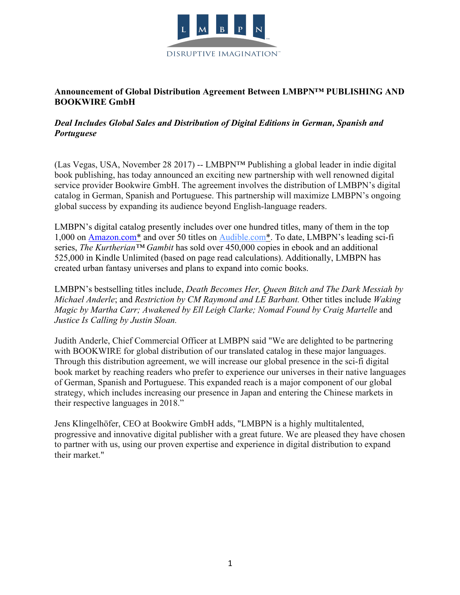

## **Announcement of Global Distribution Agreement Between LMBPN™ PUBLISHING AND BOOKWIRE GmbH**

## *Deal Includes Global Sales and Distribution of Digital Editions in German, Spanish and Portuguese*

(Las Vegas, USA, November 28 2017) -- LMBPN™ Publishing a global leader in indie digital book publishing, has today announced an exciting new partnership with well renowned digital service provider Bookwire GmbH. The agreement involves the distribution of LMBPN's digital catalog in German, Spanish and Portuguese. This partnership will maximize LMBPN's ongoing global success by expanding its audience beyond English-language readers.

LMBPN's digital catalog presently includes over one hundred titles, many of them in the top 1,000 on Amazon.com\* and over 50 titles on Audible.com\*. To date, LMBPN's leading sci-fi series, *The Kurtherian™ Gambit* has sold over 450,000 copies in ebook and an additional 525,000 in Kindle Unlimited (based on page read calculations). Additionally, LMBPN has created urban fantasy universes and plans to expand into comic books.

LMBPN's bestselling titles include, *Death Becomes Her, Queen Bitch and The Dark Messiah by Michael Anderle*; and *Restriction by CM Raymond and LE Barbant.* Other titles include *Waking Magic by Martha Carr; Awakened by Ell Leigh Clarke; Nomad Found by Craig Martelle* and *Justice Is Calling by Justin Sloan.*

Judith Anderle, Chief Commercial Officer at LMBPN said "We are delighted to be partnering with BOOKWIRE for global distribution of our translated catalog in these major languages. Through this distribution agreement, we will increase our global presence in the sci-fi digital book market by reaching readers who prefer to experience our universes in their native languages of German, Spanish and Portuguese. This expanded reach is a major component of our global strategy, which includes increasing our presence in Japan and entering the Chinese markets in their respective languages in 2018."

Jens Klingelhöfer, CEO at Bookwire GmbH adds, "LMBPN is a highly multitalented, progressive and innovative digital publisher with a great future. We are pleased they have chosen to partner with us, using our proven expertise and experience in digital distribution to expand their market."